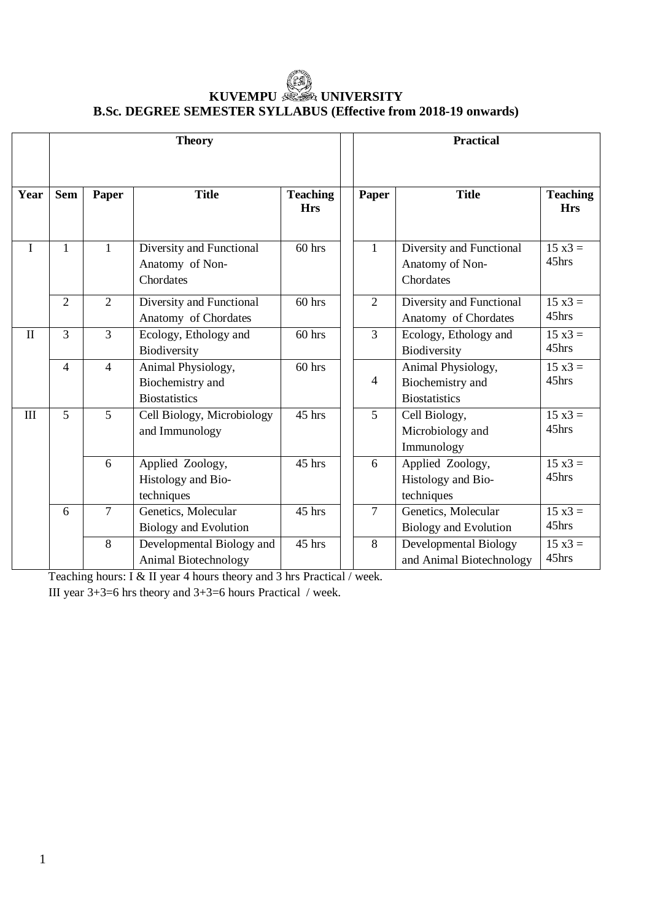# **KUVEMPU UNIVERSITY B.Sc. DEGREE SEMESTER SYLLABUS (Effective from 2018-19 onwards)**

|              |                | <b>Theory</b>  |                                                                | <b>Practical</b>              |                |                                                                |                               |
|--------------|----------------|----------------|----------------------------------------------------------------|-------------------------------|----------------|----------------------------------------------------------------|-------------------------------|
| Year         | <b>Sem</b>     | Paper          | <b>Title</b>                                                   | <b>Teaching</b><br><b>Hrs</b> | Paper          | <b>Title</b>                                                   | <b>Teaching</b><br><b>Hrs</b> |
| $\mathbf I$  | $\mathbf{1}$   | $\mathbf{1}$   | Diversity and Functional<br>Anatomy of Non-<br>Chordates       | $60$ hrs                      | $\mathbf{1}$   | Diversity and Functional<br>Anatomy of Non-<br>Chordates       | $15 x3 =$<br>45hrs            |
|              | $\overline{2}$ | $\overline{2}$ | Diversity and Functional<br>Anatomy of Chordates               | $60$ hrs                      | $\overline{2}$ | Diversity and Functional<br>Anatomy of Chordates               | $15 \times 3 =$<br>45hrs      |
| $\mathbf{I}$ | $\overline{3}$ | $\overline{3}$ | Ecology, Ethology and<br>Biodiversity                          | $60$ hrs                      | $\overline{3}$ | Ecology, Ethology and<br>Biodiversity                          | $15 x3 =$<br>45hrs            |
|              | $\overline{4}$ | $\overline{4}$ | Animal Physiology,<br>Biochemistry and<br><b>Biostatistics</b> | $60$ hrs                      | $\overline{4}$ | Animal Physiology,<br>Biochemistry and<br><b>Biostatistics</b> | $15 x3 =$<br>45hrs            |
| $\mathbf{I}$ | 5              | 5              | Cell Biology, Microbiology<br>and Immunology                   | $\overline{45}$ hrs           | 5              | Cell Biology,<br>Microbiology and<br>Immunology                | $15 \times 3 =$<br>45hrs      |
|              |                | 6              | Applied Zoology,<br>Histology and Bio-<br>techniques           | 45 hrs                        | 6              | Applied Zoology,<br>Histology and Bio-<br>techniques           | $15 \times 3 =$<br>45hrs      |
|              | 6              | $\overline{7}$ | Genetics, Molecular<br><b>Biology and Evolution</b>            | 45 hrs                        | $\overline{7}$ | Genetics, Molecular<br><b>Biology and Evolution</b>            | $15 \times 3 =$<br>45hrs      |
|              |                | 8              | Developmental Biology and<br>Animal Biotechnology              | 45 hrs                        | 8              | Developmental Biology<br>and Animal Biotechnology              | $15 \times 3 =$<br>45hrs      |

Teaching hours: I & II year 4 hours theory and 3 hrs Practical / week.

III year 3+3=6 hrs theory and 3+3=6 hours Practical / week.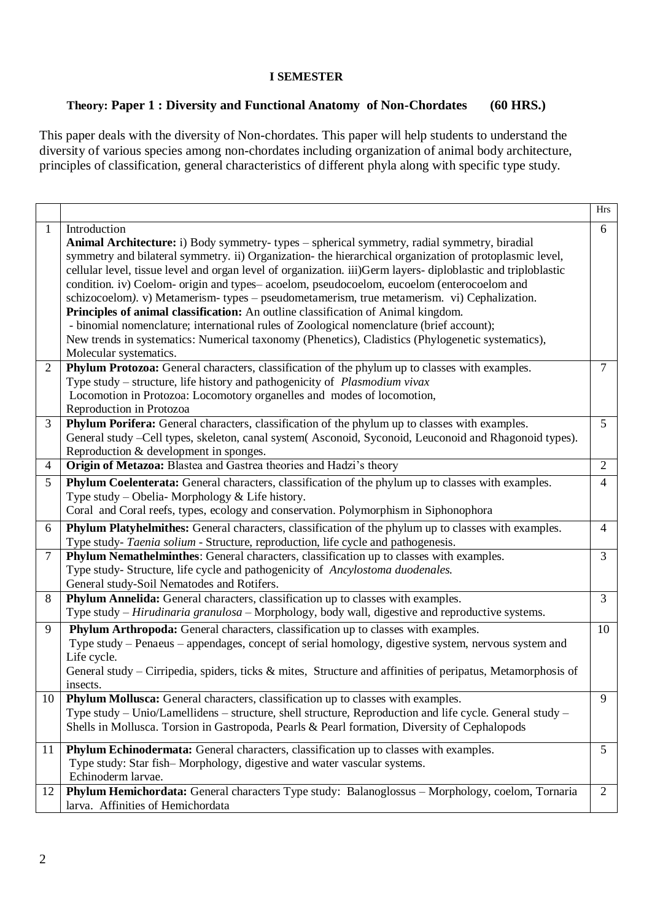#### **I SEMESTER**

### **Theory: Paper 1 : Diversity and Functional Anatomy of Non-Chordates (60 HRS.)**

This paper deals with the diversity of Non-chordates. This paper will help students to understand the diversity of various species among non-chordates including organization of animal body architecture, principles of classification, general characteristics of different phyla along with specific type study.

|                |                                                                                                                | <b>Hrs</b>      |
|----------------|----------------------------------------------------------------------------------------------------------------|-----------------|
| $\mathbf{1}$   | Introduction                                                                                                   | 6               |
|                | Animal Architecture: i) Body symmetry- types - spherical symmetry, radial symmetry, biradial                   |                 |
|                | symmetry and bilateral symmetry. ii) Organization- the hierarchical organization of protoplasmic level,        |                 |
|                | cellular level, tissue level and organ level of organization. iii) Germ layers-diploblastic and triploblastic  |                 |
|                | condition. iv) Coelom- origin and types- acoelom, pseudocoelom, eucoelom (enterocoelom and                     |                 |
|                | schizocoelom). v) Metamerism- types - pseudometamerism, true metamerism. vi) Cephalization.                    |                 |
|                | Principles of animal classification: An outline classification of Animal kingdom.                              |                 |
|                | - binomial nomenclature; international rules of Zoological nomenclature (brief account);                       |                 |
|                | New trends in systematics: Numerical taxonomy (Phenetics), Cladistics (Phylogenetic systematics),              |                 |
|                | Molecular systematics.                                                                                         |                 |
| $\overline{2}$ | Phylum Protozoa: General characters, classification of the phylum up to classes with examples.                 | $\tau$          |
|                | Type study – structure, life history and pathogenicity of <i>Plasmodium vivax</i>                              |                 |
|                | Locomotion in Protozoa: Locomotory organelles and modes of locomotion,                                         |                 |
|                | Reproduction in Protozoa                                                                                       |                 |
| 3              | Phylum Porifera: General characters, classification of the phylum up to classes with examples.                 | 5 <sup>5</sup>  |
|                | General study -Cell types, skeleton, canal system(Asconoid, Syconoid, Leuconoid and Rhagonoid types).          |                 |
|                | Reproduction & development in sponges.                                                                         |                 |
| $\overline{4}$ | Origin of Metazoa: Blastea and Gastrea theories and Hadzi's theory                                             | 2               |
| 5              | Phylum Coelenterata: General characters, classification of the phylum up to classes with examples.             | $\overline{4}$  |
|                | Type study – Obelia- Morphology & Life history.                                                                |                 |
|                | Coral and Coral reefs, types, ecology and conservation. Polymorphism in Siphonophora                           |                 |
| 6              | Phylum Platyhelmithes: General characters, classification of the phylum up to classes with examples.           | $\overline{4}$  |
|                | Type study- Taenia solium - Structure, reproduction, life cycle and pathogenesis.                              |                 |
| $\tau$         | <b>Phylum Nemathelminthes:</b> General characters, classification up to classes with examples.                 | $\mathfrak{Z}$  |
|                | Type study- Structure, life cycle and pathogenicity of Ancylostoma duodenales.                                 |                 |
|                | General study-Soil Nematodes and Rotifers.                                                                     |                 |
| $8\,$          | Phylum Annelida: General characters, classification up to classes with examples.                               | $\mathfrak{Z}$  |
|                | Type study - Hirudinaria granulosa - Morphology, body wall, digestive and reproductive systems.                |                 |
| 9              | Phylum Arthropoda: General characters, classification up to classes with examples.                             | 10              |
|                | Type study - Penaeus - appendages, concept of serial homology, digestive system, nervous system and            |                 |
|                | Life cycle.                                                                                                    |                 |
|                | General study – Cirripedia, spiders, ticks $\&$ mites, Structure and affinities of peripatus, Metamorphosis of |                 |
|                | insects.                                                                                                       |                 |
| 10             | Phylum Mollusca: General characters, classification up to classes with examples.                               | 9               |
|                | Type study - Unio/Lamellidens - structure, shell structure, Reproduction and life cycle. General study -       |                 |
|                | Shells in Mollusca. Torsion in Gastropoda, Pearls & Pearl formation, Diversity of Cephalopods                  |                 |
| 11             | Phylum Echinodermata: General characters, classification up to classes with examples.                          | $5\overline{)}$ |
|                | Type study: Star fish-Morphology, digestive and water vascular systems.                                        |                 |
|                | Echinoderm larvae.                                                                                             |                 |
| 12             | Phylum Hemichordata: General characters Type study: Balanoglossus - Morphology, coelom, Tornaria               | 2               |
|                | larva. Affinities of Hemichordata                                                                              |                 |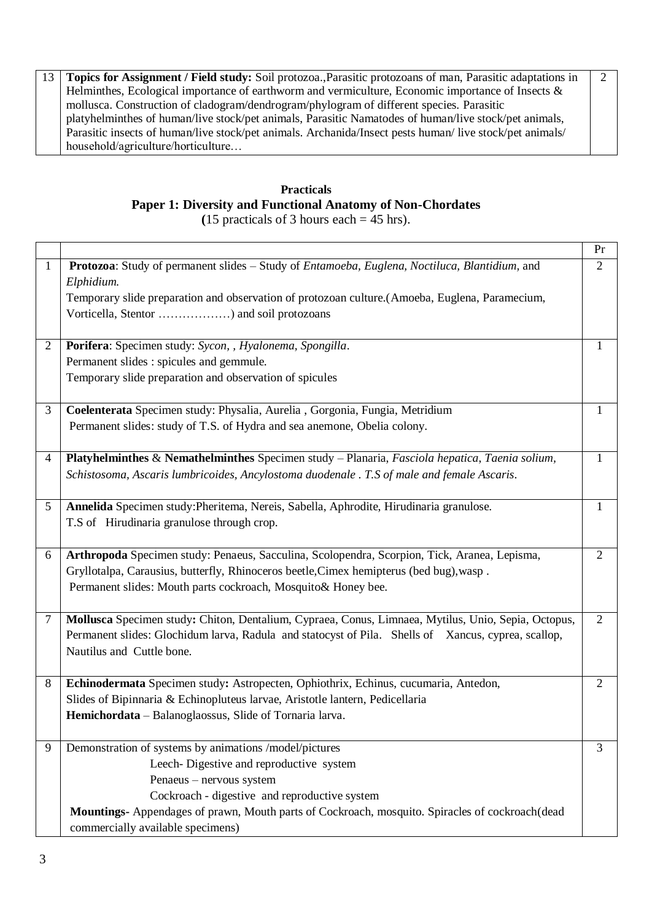13 **Topics for Assignment / Field study:** Soil protozoa.,Parasitic protozoans of man, Parasitic adaptations in Helminthes, Ecological importance of earthworm and vermiculture, Economic importance of Insects & mollusca. Construction of cladogram/dendrogram/phylogram of different species. Parasitic platyhelminthes of human/live stock/pet animals, Parasitic Namatodes of human/live stock/pet animals, Parasitic insects of human/live stock/pet animals. Archanida/Insect pests human/ live stock/pet animals/ household/agriculture/horticulture… 2

# **Practicals Paper 1: Diversity and Functional Anatomy of Non-Chordates**

**(**15 practicals of 3 hours each = 45 hrs).

|                |                                                                                                             | Pr             |
|----------------|-------------------------------------------------------------------------------------------------------------|----------------|
| $\mathbf{1}$   | Protozoa: Study of permanent slides - Study of Entamoeba, Euglena, Noctiluca, Blantidium, and<br>Elphidium. | 2              |
|                | Temporary slide preparation and observation of protozoan culture.(Amoeba, Euglena, Paramecium,              |                |
|                | Vorticella, Stentor ) and soil protozoans                                                                   |                |
| 2              | Porifera: Specimen study: Sycon, , Hyalonema, Spongilla.                                                    | 1              |
|                | Permanent slides : spicules and gemmule.                                                                    |                |
|                | Temporary slide preparation and observation of spicules                                                     |                |
| 3              | Coelenterata Specimen study: Physalia, Aurelia, Gorgonia, Fungia, Metridium                                 | 1              |
|                | Permanent slides: study of T.S. of Hydra and sea anemone, Obelia colony.                                    |                |
| $\overline{4}$ | Platyhelminthes & Nemathelminthes Specimen study - Planaria, Fasciola hepatica, Taenia solium,              | 1              |
|                | Schistosoma, Ascaris lumbricoides, Ancylostoma duodenale . T.S of male and female Ascaris.                  |                |
| 5 <sup>5</sup> | Annelida Specimen study: Pheritema, Nereis, Sabella, Aphrodite, Hirudinaria granulose.                      | $\mathbf{1}$   |
|                | T.S of Hirudinaria granulose through crop.                                                                  |                |
| 6              | Arthropoda Specimen study: Penaeus, Sacculina, Scolopendra, Scorpion, Tick, Aranea, Lepisma,                | $\overline{2}$ |
|                | Gryllotalpa, Carausius, butterfly, Rhinoceros beetle, Cimex hemipterus (bed bug), wasp.                     |                |
|                | Permanent slides: Mouth parts cockroach, Mosquito& Honey bee.                                               |                |
| 7              | Mollusca Specimen study: Chiton, Dentalium, Cypraea, Conus, Limnaea, Mytilus, Unio, Sepia, Octopus,         | $\overline{2}$ |
|                | Permanent slides: Glochidum larva, Radula and statocyst of Pila. Shells of Xancus, cyprea, scallop,         |                |
|                | Nautilus and Cuttle bone.                                                                                   |                |
| 8              | Echinodermata Specimen study: Astropecten, Ophiothrix, Echinus, cucumaria, Antedon,                         | 2              |
|                | Slides of Bipinnaria & Echinopluteus larvae, Aristotle lantern, Pedicellaria                                |                |
|                | Hemichordata - Balanoglaossus, Slide of Tornaria larva.                                                     |                |
| 9              | Demonstration of systems by animations /model/pictures                                                      | 3              |
|                | Leech-Digestive and reproductive system                                                                     |                |
|                | Penaeus - nervous system                                                                                    |                |
|                | Cockroach - digestive and reproductive system                                                               |                |
|                | Mountings- Appendages of prawn, Mouth parts of Cockroach, mosquito. Spiracles of cockroach(dead             |                |
|                | commercially available specimens)                                                                           |                |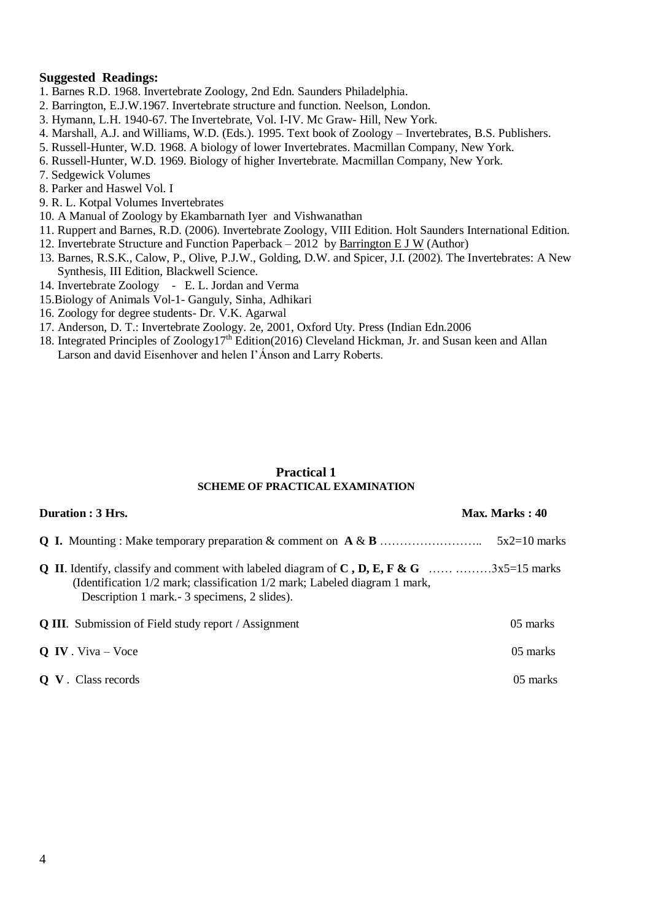#### **Suggested Readings:**

- 1. Barnes R.D. 1968. Invertebrate Zoology, 2nd Edn. Saunders Philadelphia.
- 2. Barrington, E.J.W.1967. Invertebrate structure and function. Neelson, London.
- 3. Hymann, L.H. 1940-67. The Invertebrate, Vol. I-IV. Mc Graw- Hill, New York.
- 4. Marshall, A.J. and Williams, W.D. (Eds.). 1995. Text book of Zoology Invertebrates, B.S. Publishers.
- 5. Russell-Hunter, W.D. 1968. A biology of lower Invertebrates. Macmillan Company, New York.
- 6. Russell-Hunter, W.D. 1969. Biology of higher Invertebrate. Macmillan Company, New York.
- 7. Sedgewick Volumes
- 8. Parker and Haswel Vol. I
- 9. R. L. Kotpal Volumes Invertebrates
- 10. A Manual of Zoology by Ekambarnath Iyer and Vishwanathan
- 11. Ruppert and Barnes, R.D. (2006). Invertebrate Zoology, VIII Edition. Holt Saunders International Edition.
- 12. Invertebrate Structure and Function Paperback 2012 by [Barrington E J W](https://www.amazon.in/s/ref=dp_byline_sr_book_1?ie=UTF8&field-author=Barrington+E+J+W&search-alias=stripbooks) (Author)
- 13. Barnes, R.S.K., Calow, P., Olive, P.J.W., Golding, D.W. and Spicer, J.I. (2002). The Invertebrates: A New Synthesis, III Edition, Blackwell Science.
- 14. Invertebrate Zoology E. L. Jordan and Verma
- 15.Biology of Animals Vol-1- Ganguly, Sinha, Adhikari
- 16. Zoology for degree students- Dr. V.K. Agarwal
- 17. Anderson, D. T.: Invertebrate Zoology. 2e, 2001, Oxford Uty. Press (Indian Edn.2006
- 18. Integrated Principles of Zoology17th Edition(2016) Cleveland Hickman, Jr. and Susan keen and Allan Larson and david Eisenhover and helen I'Ánson and Larry Roberts.

#### **Practical 1 SCHEME OF PRACTICAL EXAMINATION**

| Duration : 3 Hrs.                                                                                                           | Max. Marks: 40 |
|-----------------------------------------------------------------------------------------------------------------------------|----------------|
|                                                                                                                             | $5x2=10$ marks |
| (Identification 1/2 mark; classification 1/2 mark; Labeled diagram 1 mark,<br>Description 1 mark. - 3 specimens, 2 slides). |                |
| <b>Q III.</b> Submission of Field study report / Assignment                                                                 | 05 marks       |
| $Q$ IV. Viva – Voce                                                                                                         | 05 marks       |
| <b>Q V</b> . Class records                                                                                                  | 05 marks       |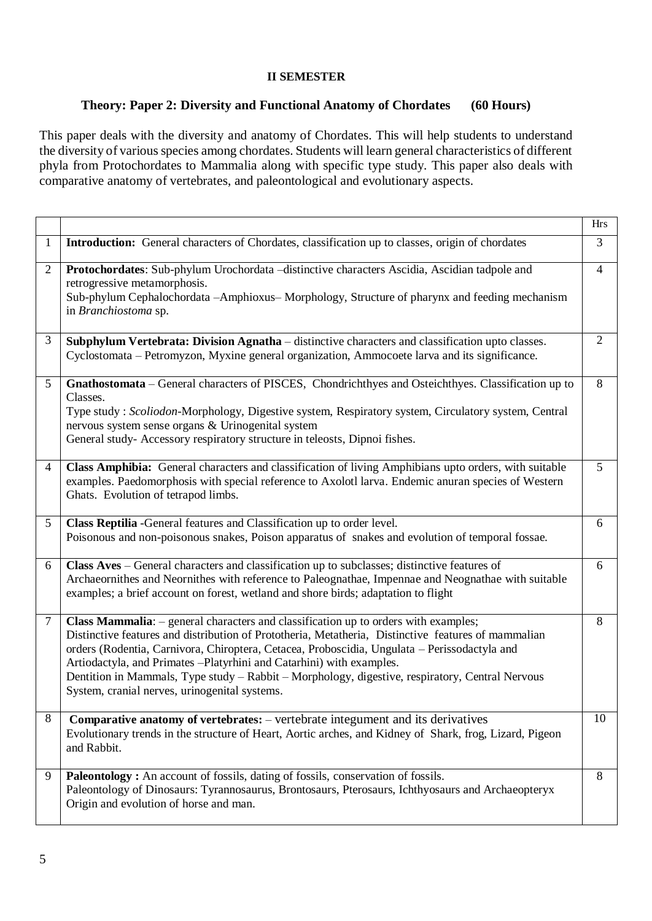#### **II SEMESTER**

### **Theory: Paper 2: Diversity and Functional Anatomy of Chordates (60 Hours)**

This paper deals with the diversity and anatomy of Chordates. This will help students to understand the diversity of various species among chordates. Students will learn general characteristics of different phyla from Protochordates to Mammalia along with specific type study. This paper also deals with comparative anatomy of vertebrates, and paleontological and evolutionary aspects.

|                |                                                                                                                                                                                                                                                                                                                                                                                                                                                                                                                         | <b>Hrs</b>     |
|----------------|-------------------------------------------------------------------------------------------------------------------------------------------------------------------------------------------------------------------------------------------------------------------------------------------------------------------------------------------------------------------------------------------------------------------------------------------------------------------------------------------------------------------------|----------------|
| $\mathbf{1}$   | <b>Introduction:</b> General characters of Chordates, classification up to classes, origin of chordates                                                                                                                                                                                                                                                                                                                                                                                                                 | 3              |
| $\overline{2}$ | Protochordates: Sub-phylum Urochordata -distinctive characters Ascidia, Ascidian tadpole and<br>retrogressive metamorphosis.<br>Sub-phylum Cephalochordata --Amphioxus--Morphology, Structure of pharynx and feeding mechanism<br>in Branchiostoma sp.                                                                                                                                                                                                                                                                  | $\overline{4}$ |
| 3              | Subphylum Vertebrata: Division Agnatha – distinctive characters and classification upto classes.<br>Cyclostomata – Petromyzon, Myxine general organization, Ammocoete larva and its significance.                                                                                                                                                                                                                                                                                                                       | 2              |
| 5              | Gnathostomata – General characters of PISCES, Chondrichthyes and Osteichthyes. Classification up to<br>Classes.<br>Type study : Scoliodon-Morphology, Digestive system, Respiratory system, Circulatory system, Central<br>nervous system sense organs & Urinogenital system<br>General study- Accessory respiratory structure in teleosts, Dipnoi fishes.                                                                                                                                                              | 8              |
| $\overline{4}$ | Class Amphibia: General characters and classification of living Amphibians upto orders, with suitable<br>examples. Paedomorphosis with special reference to Axolotl larva. Endemic anuran species of Western<br>Ghats. Evolution of tetrapod limbs.                                                                                                                                                                                                                                                                     | 5              |
| 5              | Class Reptilia - General features and Classification up to order level.<br>Poisonous and non-poisonous snakes, Poison apparatus of snakes and evolution of temporal fossae.                                                                                                                                                                                                                                                                                                                                             | 6              |
| 6              | Class Aves - General characters and classification up to subclasses; distinctive features of<br>Archaeornithes and Neornithes with reference to Paleognathae, Impennae and Neognathae with suitable<br>examples; a brief account on forest, wetland and shore birds; adaptation to flight                                                                                                                                                                                                                               | 6              |
| $\tau$         | Class Mammalia: - general characters and classification up to orders with examples;<br>Distinctive features and distribution of Prototheria, Metatheria, Distinctive features of mammalian<br>orders (Rodentia, Carnivora, Chiroptera, Cetacea, Proboscidia, Ungulata – Perissodactyla and<br>Artiodactyla, and Primates - Platyrhini and Catarhini) with examples.<br>Dentition in Mammals, Type study – Rabbit – Morphology, digestive, respiratory, Central Nervous<br>System, cranial nerves, urinogenital systems. | 8              |
| 8              | <b>Comparative anatomy of vertebrates:</b> – vertebrate integument and its derivatives<br>Evolutionary trends in the structure of Heart, Aortic arches, and Kidney of Shark, frog, Lizard, Pigeon<br>and Rabbit.                                                                                                                                                                                                                                                                                                        | 10             |
| 9              | Paleontology: An account of fossils, dating of fossils, conservation of fossils.<br>Paleontology of Dinosaurs: Tyrannosaurus, Brontosaurs, Pterosaurs, Ichthyosaurs and Archaeopteryx<br>Origin and evolution of horse and man.                                                                                                                                                                                                                                                                                         | 8              |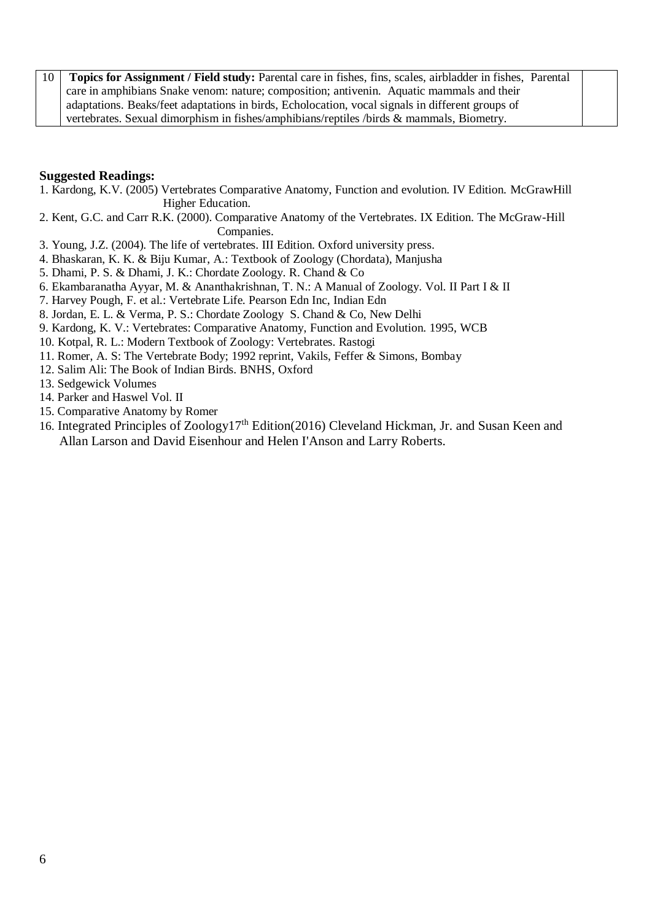10 **Topics for Assignment / Field study:** Parental care in fishes, fins, scales, airbladder in fishes, Parental care in amphibians Snake venom: nature; composition; antivenin. Aquatic mammals and their adaptations. Beaks/feet adaptations in birds, Echolocation, vocal signals in different groups of vertebrates. Sexual dimorphism in fishes/amphibians/reptiles /birds & mammals, Biometry.

#### **Suggested Readings:**

- 1. Kardong, K.V. (2005) Vertebrates Comparative Anatomy, Function and evolution. IV Edition. McGrawHill Higher Education.
- 2. Kent, G.C. and Carr R.K. (2000). Comparative Anatomy of the Vertebrates. IX Edition. The McGraw-Hill Companies.
- 3. Young, J.Z. (2004). The life of vertebrates. III Edition. Oxford university press.
- 4. Bhaskaran, K. K. & Biju Kumar, A.: Textbook of Zoology (Chordata), Manjusha
- 5. Dhami, P. S. & Dhami, J. K.: Chordate Zoology. R. Chand & Co
- 6. Ekambaranatha Ayyar, M. & Ananthakrishnan, T. N.: A Manual of Zoology. Vol. II Part I & II
- 7. Harvey Pough, F. et al.: Vertebrate Life. Pearson Edn Inc, Indian Edn
- 8. Jordan, E. L. & Verma, P. S.: Chordate Zoology S. Chand & Co, New Delhi
- 9. Kardong, K. V.: Vertebrates: Comparative Anatomy, Function and Evolution. 1995, WCB
- 10. Kotpal, R. L.: Modern Textbook of Zoology: Vertebrates. Rastogi
- 11. Romer, A. S: The Vertebrate Body; 1992 reprint, Vakils, Feffer & Simons, Bombay
- 12. Salim Ali: The Book of Indian Birds. BNHS, Oxford
- 13. Sedgewick Volumes
- 14. Parker and Haswel Vol. II
- 15. Comparative Anatomy by Romer
- 16. Integrated Principles of Zoology17th Edition(2016) [Cleveland Hickman, Jr. and Susan Keen and](https://www.mheducation.com/highered/product/integrated-principles-zoology-hickman-jr-keen/M0073524212.html#authorbio-tab)   [Allan Larson and David Eisenhour and Helen I'Anson and Larry Roberts.](https://www.mheducation.com/highered/product/integrated-principles-zoology-hickman-jr-keen/M0073524212.html#authorbio-tab)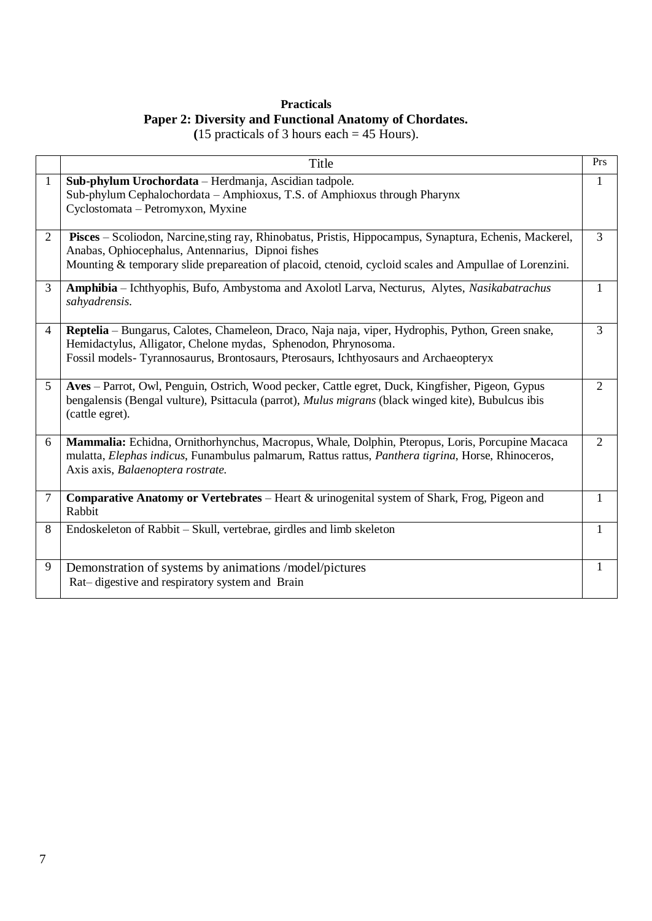## **Practicals Paper 2: Diversity and Functional Anatomy of Chordates.**

**(**15 practicals of 3 hours each = 45 Hours).

|                | Title                                                                                                                                                                                                                                                                  | Prs            |
|----------------|------------------------------------------------------------------------------------------------------------------------------------------------------------------------------------------------------------------------------------------------------------------------|----------------|
| $\mathbf{1}$   | Sub-phylum Urochordata - Herdmanja, Ascidian tadpole.<br>Sub-phylum Cephalochordata – Amphioxus, T.S. of Amphioxus through Pharynx<br>Cyclostomata - Petromyxon, Myxine                                                                                                | 1              |
| 2              | Pisces - Scoliodon, Narcine, sting ray, Rhinobatus, Pristis, Hippocampus, Synaptura, Echenis, Mackerel,<br>Anabas, Ophiocephalus, Antennarius, Dipnoi fishes<br>Mounting & temporary slide prepareation of placoid, ctenoid, cycloid scales and Ampullae of Lorenzini. | 3              |
| 3              | Amphibia - Ichthyophis, Bufo, Ambystoma and Axolotl Larva, Necturus, Alytes, Nasikabatrachus<br>sahyadrensis.                                                                                                                                                          | $\mathbf{1}$   |
| $\overline{4}$ | Reptelia - Bungarus, Calotes, Chameleon, Draco, Naja naja, viper, Hydrophis, Python, Green snake,<br>Hemidactylus, Alligator, Chelone mydas, Sphenodon, Phrynosoma.<br>Fossil models-Tyrannosaurus, Brontosaurs, Pterosaurs, Ichthyosaurs and Archaeopteryx            | 3              |
| $\overline{5}$ | Aves – Parrot, Owl, Penguin, Ostrich, Wood pecker, Cattle egret, Duck, Kingfisher, Pigeon, Gypus<br>bengalensis (Bengal vulture), Psittacula (parrot), <i>Mulus migrans</i> (black winged kite), Bubulcus ibis<br>(cattle egret).                                      | $\overline{2}$ |
| 6              | Mammalia: Echidna, Ornithorhynchus, Macropus, Whale, Dolphin, Pteropus, Loris, Porcupine Macaca<br>mulatta, Elephas indicus, Funambulus palmarum, Rattus rattus, Panthera tigrina, Horse, Rhinoceros,<br>Axis axis, Balaenoptera rostrate.                             | 2              |
| $\tau$         | Comparative Anatomy or Vertebrates - Heart & urinogenital system of Shark, Frog, Pigeon and<br>Rabbit                                                                                                                                                                  | $\mathbf{1}$   |
| 8              | Endoskeleton of Rabbit - Skull, vertebrae, girdles and limb skeleton                                                                                                                                                                                                   | $\mathbf{1}$   |
| 9              | Demonstration of systems by animations /model/pictures<br>Rat-digestive and respiratory system and Brain                                                                                                                                                               | 1              |